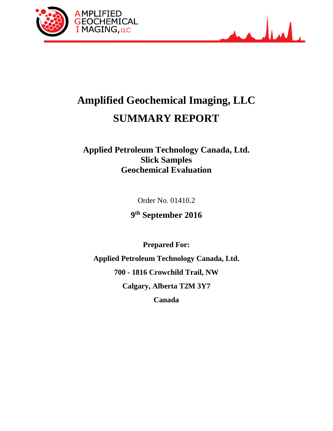



# **Amplified Geochemical Imaging, LLC SUMMARY REPORT**

# **Applied Petroleum Technology Canada, Ltd. Slick Samples Geochemical Evaluation**

Order No. 01410.2

**9th September 2016**

**Prepared For:**

**Applied Petroleum Technology Canada, Ltd. 700 - 1816 Crowchild Trail, NW Calgary, Alberta T2M 3Y7**

**Canada**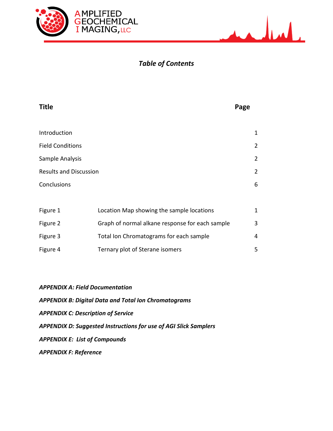



# *Table of Contents*

| <b>Title</b>                  | Page           |
|-------------------------------|----------------|
|                               |                |
| Introduction                  | 1              |
| <b>Field Conditions</b>       | $\overline{2}$ |
| Sample Analysis               | $\overline{2}$ |
| <b>Results and Discussion</b> | $\overline{2}$ |
| Conclusions                   | 6              |
|                               |                |

| Figure 1 | Location Map showing the sample locations       | 1 |
|----------|-------------------------------------------------|---|
| Figure 2 | Graph of normal alkane response for each sample | 3 |
| Figure 3 | Total Ion Chromatograms for each sample         | 4 |
| Figure 4 | Ternary plot of Sterane isomers                 | 5 |

| <b>APPENDIX A: Field Documentation</b>                           |
|------------------------------------------------------------------|
| <b>APPENDIX B: Digital Data and Total Ion Chromatograms</b>      |
| <b>APPENDIX C: Description of Service</b>                        |
| APPENDIX D: Suggested Instructions for use of AGI Slick Samplers |
| <b>APPENDIX E: List of Compounds</b>                             |
| <b>APPENDIX F: Reference</b>                                     |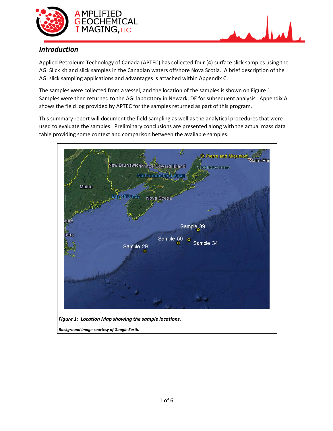



### *Introduction*

Applied Petroleum Technology of Canada (APTEC) has collected four (4) surface slick samples using the AGI Slick kit and slick samples in the Canadian waters offshore Nova Scotia. A brief description of the AGI slick sampling applications and advantages is attached within Appendix C.

The samples were collected from a vessel, and the location of the samples is shown on Figure 1. Samples were then returned to the AGI laboratory in Newark, DE for subsequent analysis. Appendix A shows the field log provided by APTEC for the samples returned as part of this program.

This summary report will document the field sampling as well as the analytical procedures that were used to evaluate the samples. Preliminary conclusions are presented along with the actual mass data table providing some context and comparison between the available samples.

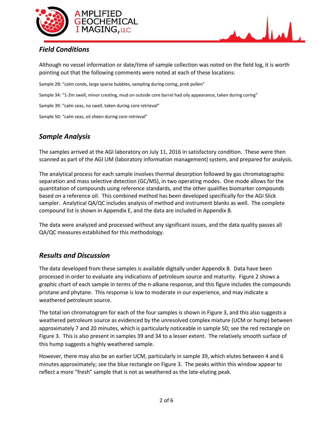



## *Field Conditions*

Although no vessel information or date/time of sample collection was noted on the field log, it is worth pointing out that the following comments were noted at each of these locations:

Sample 2B: "calm conds, large sparse bubbles, sampling during coring, prob pollen"

Sample 34: "1-2m swell, minor cresting, mud on outside core barrel had oily appearance, taken during coring"

Sample 39: "calm seas, no swell, taken during core retrieval"

Sample 50: "calm seas, oil sheen during core retrieval"

## *Sample Analysis*

The samples arrived at the AGI laboratory on July 11, 2016 in satisfactory condition. These were then scanned as part of the AGI LIM (laboratory information management) system, and prepared for analysis.

The analytical process for each sample involves thermal desorption followed by gas chromatographic separation and mass selective detection (GC/MS), in two operating modes. One mode allows for the quantitation of compounds using reference standards, and the other qualifies biomarker compounds based on a reference oil. This combined method has been developed specifically for the AGI Slick sampler. Analytical QA/QC includes analysis of method and instrument blanks as well. The complete compound list is shown in Appendix E, and the data are included in Appendix B.

The data were analyzed and processed without any significant issues, and the data quality passes all QA/QC measures established for this methodology.

### *Results and Discussion*

The data developed from these samples is available digitally under Appendix B. Data have been processed in order to evaluate any indications of petroleum source and maturity. Figure 2 shows a graphic chart of each sample in terms of the n-alkane response, and this figure includes the compounds pristane and phytane. This response is low to moderate in our experience, and may indicate a weathered petroleum source.

The total ion chromatogram for each of the four samples is shown in Figure 3, and this also suggests a weathered petroleum source as evidenced by the unresolved complex mixture (UCM or hump) between approximately 7 and 20 minutes, which is particularly noticeable in sample 50; see the red rectangle on Figure 3. This is also present in samples 39 and 34 to a lesser extent. The relatively smooth surface of this hump suggests a highly weathered sample.

However, there may also be an earlier UCM, particularly in sample 39, which elutes between 4 and 6 minutes approximately; see the blue rectangle on Figure 3. The peaks within this window appear to reflect a more "fresh" sample that is not as weathered as the late-eluting peak.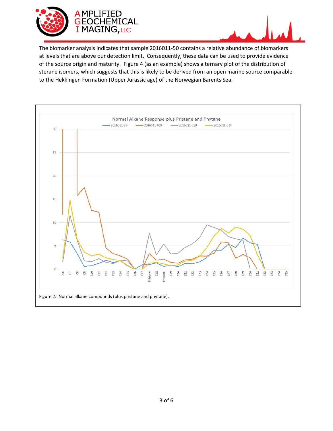



The biomarker analysis indicates that sample 2016011-50 contains a relative abundance of biomarkers at levels that are above our detection limit. Consequently, these data can be used to provide evidence of the source origin and maturity. Figure 4 (as an example) shows a ternary plot of the distribution of sterane isomers, which suggests that this is likely to be derived from an open marine source comparable to the Hekkingen Formation (Upper Jurassic age) of the Norwegian Barents Sea.

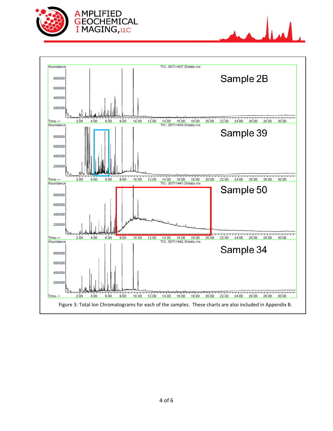





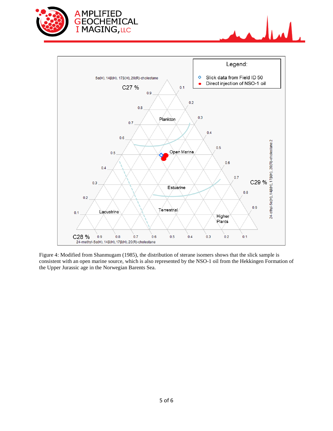





Figure 4: Modified from Shanmugam (1985), the distribution of sterane isomers shows that the slick sample is consistent with an open marine source, which is also represented by the NSO-1 oil from the Hekkingen Formation of the Upper Jurassic age in the Norwegian Barents Sea.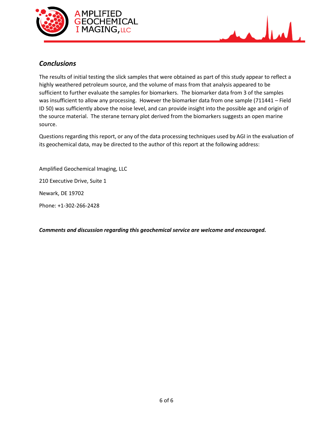



### *Conclusions*

The results of initial testing the slick samples that were obtained as part of this study appear to reflect a highly weathered petroleum source, and the volume of mass from that analysis appeared to be sufficient to further evaluate the samples for biomarkers. The biomarker data from 3 of the samples was insufficient to allow any processing. However the biomarker data from one sample (711441 – Field ID 50) was sufficiently above the noise level, and can provide insight into the possible age and origin of the source material. The sterane ternary plot derived from the biomarkers suggests an open marine source.

Questions regarding this report, or any of the data processing techniques used by AGI in the evaluation of its geochemical data, may be directed to the author of this report at the following address:

Amplified Geochemical Imaging, LLC

210 Executive Drive, Suite 1

Newark, DE 19702

Phone: +1-302-266-2428

*Comments and discussion regarding this geochemical service are welcome and encouraged.*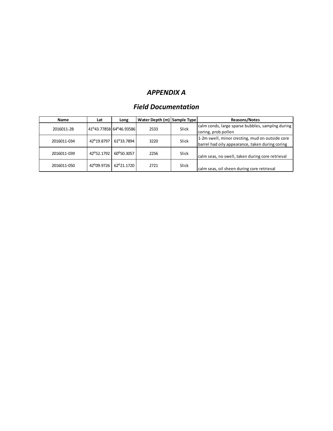## *APPENDIX A*

## *Field Documentation*

| Name        | Lat                     | Long                  | Water Depth (m) Sample Type |       | <b>Reasons/Notes</b>                             |
|-------------|-------------------------|-----------------------|-----------------------------|-------|--------------------------------------------------|
| 2016011-2B  | 41°43.77858 64°46.93586 |                       | 2533                        | Slick | calm conds, large sparse bubbles, samping during |
|             |                         |                       |                             |       | coring, prob pollen                              |
| 2016011-034 | 42°19.8797              | 61°33.7894            | 3220                        | Slick | 1-2m swell, minor cresting, mud on outside core  |
|             |                         |                       |                             |       | barrel had oily appearance, taken during coring  |
| 2016011-039 | 42°52.1792              | 60°50.3057            | 2256                        | Slick |                                                  |
|             |                         |                       |                             |       | calm seas, no swell, taken during core retrieval |
| 2016011-050 |                         | 42°09.9726 62°21.1720 | 2721                        | Slick |                                                  |
|             |                         |                       |                             |       | calm seas, oil sheen during core retrieval       |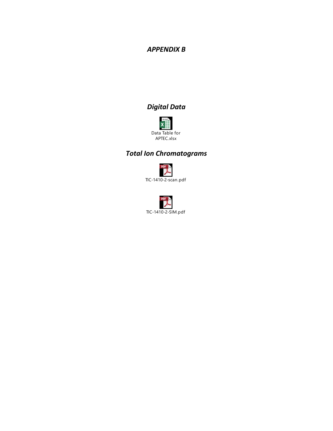# *APPENDIX B*

# *Digital Data*



# *Total Ion Chromatograms*



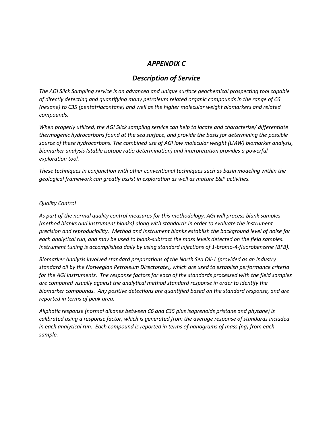#### *APPENDIX C*

#### *Description of Service*

*The AGI Slick Sampling service is an advanced and unique surface geochemical prospecting tool capable of directly detecting and quantifying many petroleum related organic compounds in the range of C6 (hexane) to C35 (pentatriacontane) and well as the higher molecular weight biomarkers and related compounds.*

*When properly utilized, the AGI Slick sampling service can help to locate and characterize/ differentiate thermogenic hydrocarbons found at the sea surface, and provide the basis for determining the possible source of these hydrocarbons. The combined use of AGI low molecular weight (LMW) biomarker analysis, biomarker analysis (stable isotope ratio determination) and interpretation provides a powerful exploration tool.*

*These techniques in conjunction with other conventional techniques such as basin modeling within the geological framework can greatly assist in exploration as well as mature E&P activities.*

#### *Quality Control*

*As part of the normal quality control measures for this methodology, AGI will process blank samples (method blanks and instrument blanks) along with standards in order to evaluate the instrument precision and reproducibility. Method and Instrument blanks establish the background level of noise for each analytical run, and may be used to blank-subtract the mass levels detected on the field samples. Instrument tuning is accomplished daily by using standard injections of 1-bromo-4-fluorobenzene (BFB).* 

*Biomarker Analysis involved standard preparations of the North Sea Oil-1 (provided as an industry standard oil by the Norwegian Petroleum Directorate), which are used to establish performance criteria for the AGI instruments. The response factors for each of the standards processed with the field samples are compared visually against the analytical method standard response in order to identify the biomarker compounds. Any positive detections are quantified based on the standard response, and are reported in terms of peak area.*

*Aliphatic response (normal alkanes between C6 and C35 plus isoprenoids pristane and phytane) is calibrated using a response factor, which is generated from the average response of standards included in each analytical run. Each compound is reported in terms of nanograms of mass (ng) from each sample.*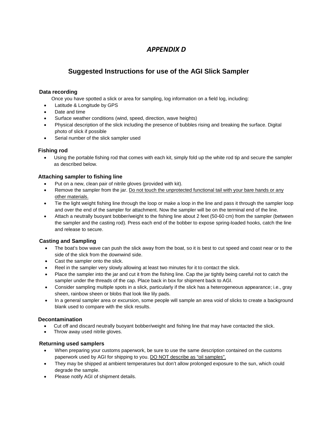### *APPENDIX D*

#### **Suggested Instructions for use of the AGI Slick Sampler**

#### **Data recording**

Once you have spotted a slick or area for sampling, log information on a field log, including:

- Latitude & Longitude by GPS
- Date and time
- Surface weather conditions (wind, speed, direction, wave heights)
- Physical description of the slick including the presence of bubbles rising and breaking the surface. Digital photo of slick if possible
- Serial number of the slick sampler used

#### **Fishing rod**

• Using the portable fishing rod that comes with each kit, simply fold up the white rod tip and secure the sampler as described below.

#### **Attaching sampler to fishing line**

- Put on a new, clean pair of nitrile gloves (provided with kit).
- Remove the sampler from the jar. Do not touch the unprotected functional tail with your bare hands or any other materials.
- Tie the light weight fishing line through the loop or make a loop in the line and pass it through the sampler loop and over the end of the sampler for attachment. Now the sampler will be on the terminal end of the line.
- Attach a neutrally buoyant bobber/weight to the fishing line about 2 feet (50-60 cm) from the sampler (between the sampler and the casting rod). Press each end of the bobber to expose spring-loaded hooks, catch the line and release to secure.

#### **Casting and Sampling**

- The boat's bow wave can push the slick away from the boat, so it is best to cut speed and coast near or to the side of the slick from the downwind side.
- Cast the sampler onto the slick.
- Reel in the sampler very slowly allowing at least two minutes for it to contact the slick.
- Place the sampler into the jar and cut it from the fishing line. Cap the jar tightly being careful not to catch the sampler under the threads of the cap. Place back in box for shipment back to AGI.
- Consider sampling multiple spots in a slick, particularly if the slick has a heterogeneous appearance; i.e., gray sheen, rainbow sheen or blobs that look like lily pads.
- In a general sampler area or excursion, some people will sample an area void of slicks to create a background blank used to compare with the slick results.

#### **Decontamination**

- Cut off and discard neutrally buoyant bobber/weight and fishing line that may have contacted the slick.
- Throw away used nitrile gloves.

#### **Returning used samplers**

- When preparing your customs paperwork, be sure to use the same description contained on the customs paperwork used by AGI for shipping to you. DO NOT describe as "oil samples".
- They may be shipped at ambient temperatures but don't allow prolonged exposure to the sun, which could degrade the sample.
- Please notify AGI of shipment details.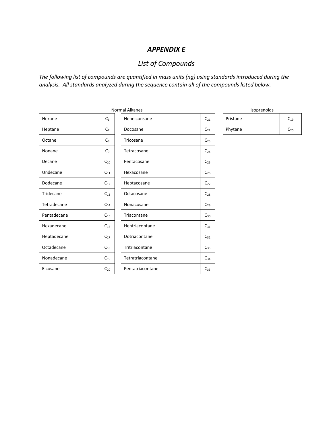#### *APPENDIX E*

# *List of Compounds*

*The following list of compounds are quantified in mass units (ng) using standards introduced during the analysis. All standards analyzed during the sequence contain all of the compounds listed below.*

|             |                | Norma |
|-------------|----------------|-------|
| Hexane      | C <sub>6</sub> |       |
| Heptane     | C <sub>7</sub> |       |
| Octane      | $C_8$          |       |
| Nonane      | C <sub>9</sub> |       |
| Decane      | $C_{10}$       |       |
| Undecane    | $C_{11}$       |       |
| Dodecane    | $C_{12}$       |       |
| Tridecane   | $C_{13}$       |       |
| Tetradecane | $C_{14}$       |       |
| Pentadecane | $C_{15}$       |       |
| Hexadecane  | $C_{16}$       |       |
| Heptadecane | $C_{17}$       |       |
| Octadecane  | $C_{18}$       |       |
| Nonadecane  | $C_{19}$       |       |
| Eicosane    | $C_{20}$       |       |

|             |                | Normal Alkanes   |          | Isoprenoids |          |
|-------------|----------------|------------------|----------|-------------|----------|
| Hexane      | $C_6$          | Heneiconsane     | $C_{21}$ | Pristane    | $C_{19}$ |
| Heptane     | C <sub>7</sub> | Docosane         | $C_{22}$ | Phytane     | $C_{20}$ |
| Octane      | $C_8$          | Tricosane        | $C_{23}$ |             |          |
| Nonane      | C <sub>9</sub> | Tetracosane      | $C_{24}$ |             |          |
| Decane      | $C_{10}$       | Pentacosane      | $C_{25}$ |             |          |
| Undecane    | $C_{11}$       | Hexacosane       | $C_{26}$ |             |          |
| Dodecane    | $C_{12}$       | Heptacosane      | $C_{27}$ |             |          |
| Tridecane   | $C_{13}$       | Octacosane       | $C_{28}$ |             |          |
| Tetradecane | $C_{14}$       | Nonacosane       | $C_{29}$ |             |          |
| Pentadecane | $C_{15}$       | Triacontane      | $C_{30}$ |             |          |
| Hexadecane  | $C_{16}$       | Hentriacontane   | $C_{31}$ |             |          |
| Heptadecane | $C_{17}$       | Dotriacontane    | $C_{32}$ |             |          |
| Octadecane  | $C_{18}$       | Tritriacontane   | $C_{33}$ |             |          |
| Nonadecane  | $C_{19}$       | Tetratriacontane | $C_{34}$ |             |          |
| Eicosane    | $C_{20}$       | Pentatriacontane | $C_{35}$ |             |          |

|--|

| Pristane | $C_{19}$ |
|----------|----------|
| Phytane  | $C_{20}$ |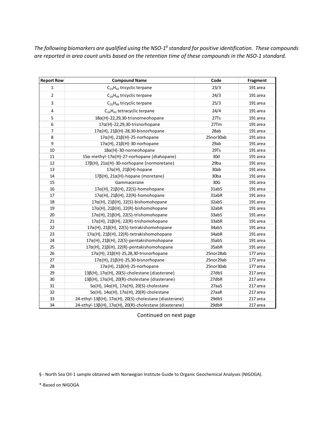*The following biomarkers are qualified using the NSO-1§ standard for positive identification. These compounds are reported in area count units based on the retention time of these compounds in the NSO-1 standard.*

| <b>Report Row</b> | <b>Compound Name</b>                                              | Code      | Fragment |
|-------------------|-------------------------------------------------------------------|-----------|----------|
| $\mathbf{1}$      | $C_{23}H_{42}$ tricyclic terpane                                  | 23/3      | 191 area |
| $\overline{2}$    | $C_{24}H_{44}$ tricyclic terpane                                  | 24/3      | 191 area |
| 3                 | $C_{25}H_{46}$ tricyclic terpane                                  | 25/3      | 191 area |
| $\sqrt{4}$        | $C_{24}H_{42}$ tetracyclic terpane                                | 24/4      | 191 area |
| 5                 | $18\alpha$ (H)-22,29,30-trisnorneohopane                          | 27Ts      | 191 area |
| $\boldsymbol{6}$  | $17\alpha$ (H)-22,29,30-trisnorhopane                             | 27Tm      | 191 area |
| $\overline{7}$    | $17\alpha$ (H), 21 $\beta$ (H)-28,30-bisnorhopane                 | 28ab      | 191 area |
| 8                 | $17\alpha$ (H), 21 $\beta$ (H)-25-norhopane                       | 25nor30ab | 191 area |
| 9                 | $17\alpha$ (H), 21 $\beta$ (H)-30-norhopane                       | 29ab      | 191 area |
| 10                | $18\alpha$ (H)-30-norneohopane                                    | 29Ts      | 191 area |
| 11                | $15\alpha$ -methyl-17 $\alpha$ (H)-27-norhopane (diahopane)       | 30d       | 191 area |
| 12                | $17\beta$ (H), $21\alpha$ (H)-30-norhopane (normoretane)          | 29ba      | 191 area |
| 13                | $17\alpha$ (H), 21 $\beta$ (H)-hopane                             | 30ab      | 191 area |
| 14                | $17\beta(H)$ , $21\alpha(H)$ -hopane (moretane)                   | 30ba      | 191 area |
| 15                | Gammacerane                                                       | 30G       | 191 area |
| 16                | $17\alpha$ (H), 21 $\beta$ (H), 22(S)-homohopane                  | 31abS     | 191 area |
| 17                | $17\alpha$ (H), 21 $\beta$ (H), 22(R)-homohopane                  | 31abR     | 191 area |
| 18                | $17\alpha$ (H), 21 $\beta$ (H), 22(S)-bishomohopane               | 32abS     | 191 area |
| 19                | $17\alpha$ (H), 21 $\beta$ (H), 22(R)-bishomohopane               | 32abR     | 191 area |
| 20                | $17\alpha$ (H), 21 $\beta$ (H), 22(S)-trishomohopane              | 33abS     | 191 area |
| 21                | $17\alpha$ (H), 21 $\beta$ (H), 22(R)-trishomohopane              | 33abR     | 191 area |
| 22                | $17\alpha$ (H), 21 $\beta$ (H), 22(S)-tetrakishomohopane          | 34abS     | 191 area |
| 23                | $17\alpha$ (H), 21 $\beta$ (H), 22(R)-tetrakishomohopane          | 34abR     | 191 area |
| 24                | $17\alpha$ (H), 21 $\beta$ (H), 22(S)-pentakishomohopane          | 35abS     | 191 area |
| 25                | $17\alpha$ (H), 21 $\beta$ (H), 22(R)-pentakishomohopane          | 35abR     | 191 area |
| 26                | $17\alpha$ (H), 21 $\beta$ (H)-25,28,30-trisnorhopane             | 25nor28ab | 177 area |
| 27                | $17\alpha$ (H), $21\beta$ (H)-25,30-bisnorhopane                  | 25nor29ab | 177 area |
| 28                | $17\alpha$ (H), 21 $\beta$ (H)-25-norhopane                       | 25nor30ab | 177 area |
| 29                | $13\beta(H)$ , $17\alpha(H)$ , $20(S)$ -cholestane (diasterane)   | 27dbS     | 217 area |
| 30                | $13\beta(H)$ , $17\alpha(H)$ , $20(R)$ -cholestane (diasterane)   | 27dbR     | 217 area |
| 31                | $5\alpha$ (H), 14 $\alpha$ (H), 17 $\alpha$ (H), 20(S)-cholestane | 27aaS     | 217 area |
| 32                | $5\alpha$ (H), 14 $\alpha$ (H), 17 $\alpha$ (H), 20(R)-cholestane | 27aaR     | 217 area |
| 33                | 24-ethyl-13β(H), 17α(H), 20(S)-cholestane (diasterane)            | 29dbS     | 217 area |
| 34                | 24-ethyl-13β(H), 17α(H), 20(R)-cholestane (diasterane)            | 29dbR     | 217 area |

Continued on next page

§ - North Sea Oil-1 sample obtained with Norwegian Institute Guide to Organic Geochemical Analyses (NIGOGA).

\*-Based on NIGOGA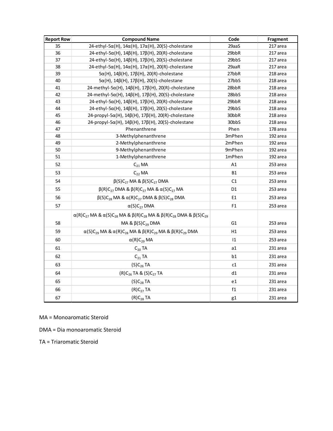| <b>Report Row</b> | <b>Compound Name</b>                                                                                        | Code           | Fragment |
|-------------------|-------------------------------------------------------------------------------------------------------------|----------------|----------|
| 35                | $24$ -ethyl-5 $\alpha$ (H), 14 $\alpha$ (H), 17 $\alpha$ (H), 20(S)-cholestane                              | 29aaS          | 217 area |
| 36                | $24$ -ethyl-5 $\alpha$ (H), 14 $\beta$ (H), 17 $\beta$ (H), 20(R)-cholestane                                | 29bbR          | 217 area |
| 37                | $24$ -ethyl-5 $\alpha$ (H), 14 $\beta$ (H), 17 $\beta$ (H), 20(S)-cholestane                                | 29bbS          | 217 area |
| 38                | $24$ -ethyl-5 $\alpha$ (H), 14 $\alpha$ (H), 17 $\alpha$ (H), 20(R)-cholestane                              | 29aaR          | 217 area |
| 39                | $5\alpha$ (H), 14 $\beta$ (H), 17 $\beta$ (H), 20(R)-cholestane                                             | 27bbR          | 218 area |
| 40                | $5\alpha$ (H), 14 $\beta$ (H), 17 $\beta$ (H), 20(S)-cholestane                                             | 27bbS          | 218 area |
| 41                | $24$ -methyl-5 $\alpha$ (H), 14 $\beta$ (H), 17 $\beta$ (H), 20(R)-cholestane                               | 28bbR          | 218 area |
| 42                | $24$ -methyl-5 $\alpha$ (H), 14 $\beta$ (H), 17 $\beta$ (H), 20(S)-cholestane                               | 28bbS          | 218 area |
| 43                | $24$ -ethyl-5 $\alpha$ (H), 14 $\beta$ (H), 17 $\beta$ (H), 20(R)-cholestane                                | 29bbR          | 218 area |
| 44                | $24$ -ethyl-5 $\alpha$ (H), 14 $\beta$ (H), 17 $\beta$ (H), 20(S)-cholestane                                | 29bbS          | 218 area |
| 45                | 24-propyl-5α(H), 14β(H), 17β(H), 20(R)-cholestane                                                           | 30bbR          | 218 area |
| 46                | 24-propyl-5α(H), 14β(H), 17β(H), 20(S)-cholestane                                                           | 30bbS          | 218 area |
| 47                | Phenanthrene                                                                                                | Phen           | 178 area |
| 48                | 3-Methylphenanthrene                                                                                        | 3mPhen         | 192 area |
| 49                | 2-Methylphenanthrene                                                                                        | 2mPhen         | 192 area |
| 50                | 9-Methylphenanthrene                                                                                        | 9mPhen         | 192 area |
| 51                | 1-Methylphenanthrene                                                                                        | 1mPhen         | 192 area |
| 52                | $C_{21}$ MA                                                                                                 | A1             | 253 area |
| 53                | $C_{22}$ MA                                                                                                 | <b>B1</b>      | 253 area |
| 54                | $β(S)C27 MA & β(S)C27 DNA$                                                                                  | C1             | 253 area |
| 55                | $β(R)C27$ DMA & $β(R)C27$ MA & α(S)C <sub>27</sub> MA                                                       | D <sub>1</sub> | 253 area |
| 56                | $\beta(S)C_{28}$ MA & $\alpha(R)C_{27}$ DMA & $\beta(S)C_{28}$ DMA                                          | E1             | 253 area |
| 57                | $\alpha(S)C_{27}$ DMA                                                                                       | F1             | 253 area |
|                   | $\alpha(R)C_{27}$ MA & $\alpha(S)C_{28}$ MA & $\beta(R)C_{28}$ MA & $\beta(R)C_{28}$ DMA & $\beta(S)C_{29}$ |                |          |
| 58                | MA & $\beta(S)C_{29}$ DMA                                                                                   | G <sub>1</sub> | 253 area |
| 59                | $\alpha(S)C_{29}$ MA & $\alpha(R)C_{28}$ MA & $\beta(R)C_{29}$ MA & $\beta(R)C_{29}$ DMA                    | H1             | 253 area |
| 60                | $\alpha(R)C_{29}$ MA                                                                                        | $ 1\rangle$    | 253 area |
| 61                | $C_{20}$ TA                                                                                                 | a1             | 231 area |
| 62                | $C_{21}$ TA                                                                                                 | b1             | 231 area |
| 63                | $(S)C_{26}$ TA                                                                                              | c1             | 231 area |
| 64                | $(R)C_{26}$ TA & $(S)C_{27}$ TA                                                                             | d1             | 231 area |
| 65                | $(S)C_{28}TA$                                                                                               | e1             | 231 area |
| 66                | (R)C <sub>27</sub> TA                                                                                       | f1             | 231 area |
| 67                | $(R)C_{28}TA$                                                                                               | g1             | 231 area |

MA = Monoaromatic Steroid

DMA = Dia monoaromatic Steroid

TA = Triaromatic Steroid